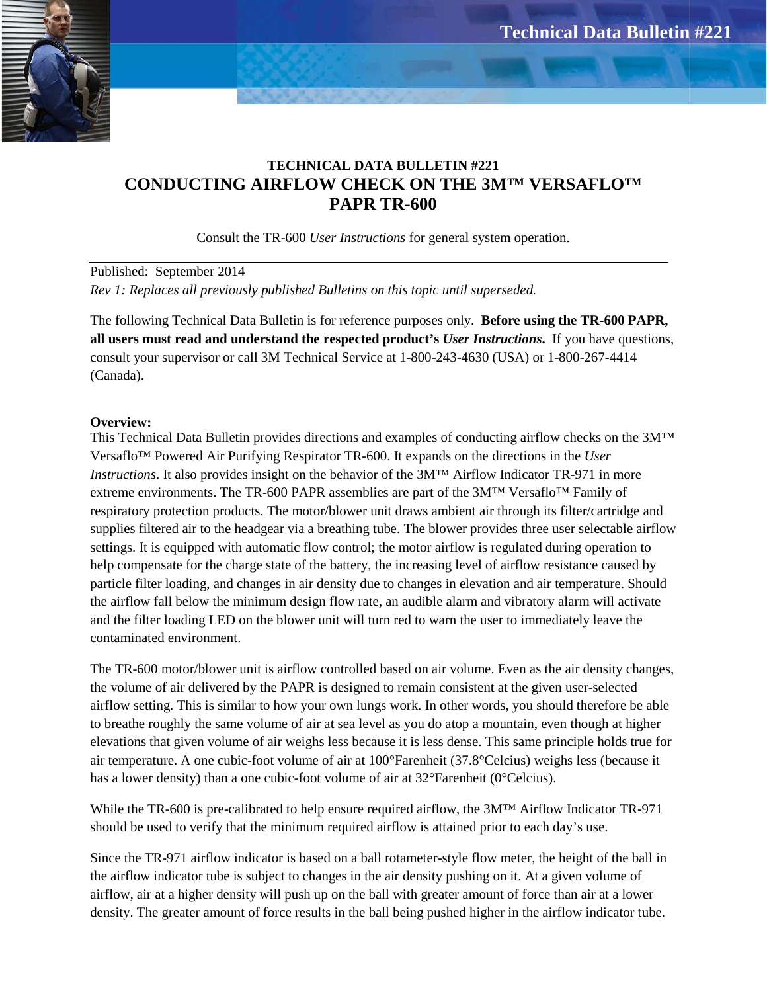

# **TECHNICAL DATA BULLETIN #221 CONDUCTING AIRFLOW CHECK ON THE 3M™ VERSAFLO™ PAPR TR-600**

Consult the TR-600 *User Instructions* for general system operation.

Published: September 2014 *Rev 1: Replaces all previously published Bulletins on this topic until superseded.*

The following Technical Data Bulletin is for reference purposes only. **Before using the TR-600 PAPR, all users must read and understand the respected product's** *User Instructions***.** If you have questions, consult your supervisor or call 3M Technical Service at 1-800-243-4630 (USA) or 1-800-267-4414 (Canada).

# **Overview:**

This Technical Data Bulletin provides directions and examples of conducting airflow checks on the 3M™ Versaflo™ Powered Air Purifying Respirator TR-600. It expands on the directions in the *User Instructions*. It also provides insight on the behavior of the 3M™ Airflow Indicator TR-971 in more extreme environments. The TR-600 PAPR assemblies are part of the  $3M^{TM}$  Versaflo<sup>TM</sup> Family of respiratory protection products. The motor/blower unit draws ambient air through its filter/cartridge and supplies filtered air to the headgear via a breathing tube. The blower provides three user selectable airflow settings. It is equipped with automatic flow control; the motor airflow is regulated during operation to help compensate for the charge state of the battery, the increasing level of airflow resistance caused by particle filter loading, and changes in air density due to changes in elevation and air temperature. Should the airflow fall below the minimum design flow rate, an audible alarm and vibratory alarm will activate and the filter loading LED on the blower unit will turn red to warn the user to immediately leave the contaminated environment.

The TR-600 motor/blower unit is airflow controlled based on air volume. Even as the air density changes, the volume of air delivered by the PAPR is designed to remain consistent at the given user-selected airflow setting. This is similar to how your own lungs work. In other words, you should therefore be able to breathe roughly the same volume of air at sea level as you do atop a mountain, even though at higher elevations that given volume of air weighs less because it is less dense. This same principle holds true for air temperature. A one cubic-foot volume of air at 100°Farenheit (37.8°Celcius) weighs less (because it has a lower density) than a one cubic-foot volume of air at 32°Farenheit (0°Celcius).

While the TR-600 is pre-calibrated to help ensure required airflow, the 3M™ Airflow Indicator TR-971 should be used to verify that the minimum required airflow is attained prior to each day's use.

Since the TR-971 airflow indicator is based on a ball rotameter-style flow meter, the height of the ball in the airflow indicator tube is subject to changes in the air density pushing on it. At a given volume of airflow, air at a higher density will push up on the ball with greater amount of force than air at a lower density. The greater amount of force results in the ball being pushed higher in the airflow indicator tube.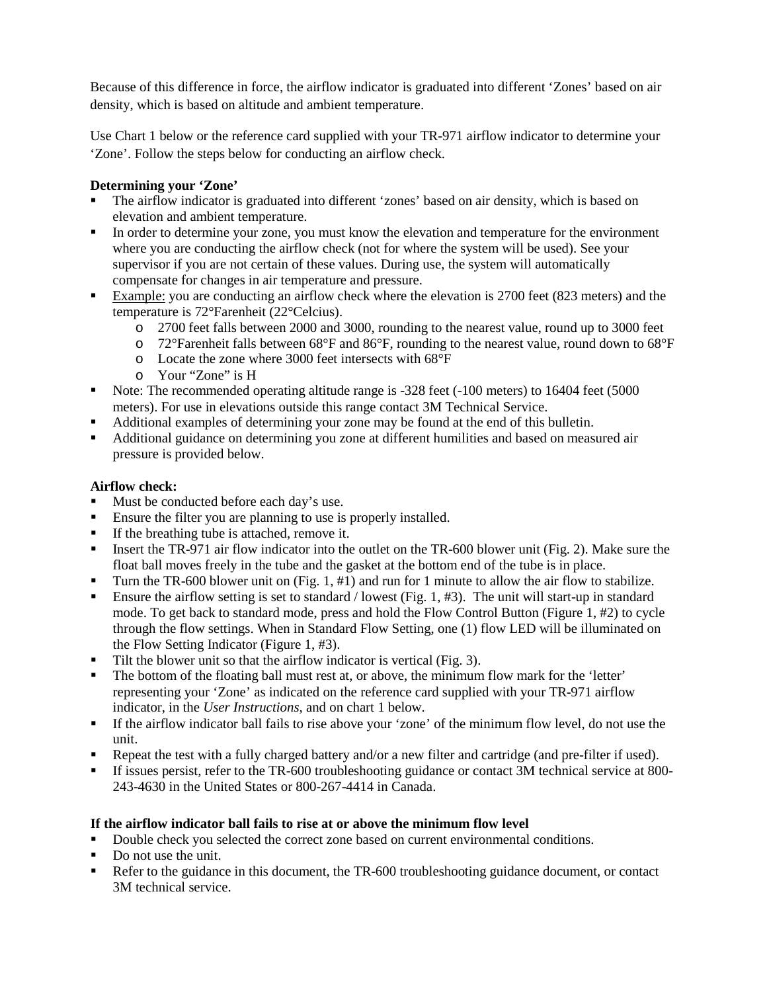Because of this difference in force, the airflow indicator is graduated into different 'Zones' based on air density, which is based on altitude and ambient temperature.

Use Chart 1 below or the reference card supplied with your TR-971 airflow indicator to determine your 'Zone'. Follow the steps below for conducting an airflow check.

# **Determining your 'Zone'**

- The airflow indicator is graduated into different 'zones' based on air density, which is based on elevation and ambient temperature.
- In order to determine your zone, you must know the elevation and temperature for the environment where you are conducting the airflow check (not for where the system will be used). See your supervisor if you are not certain of these values. During use, the system will automatically compensate for changes in air temperature and pressure.
- Example: you are conducting an airflow check where the elevation is 2700 feet (823 meters) and the temperature is 72°Farenheit (22°Celcius).
	- o 2700 feet falls between 2000 and 3000, rounding to the nearest value, round up to 3000 feet
	- $\circ$  72°Farenheit falls between 68°F and 86°F, rounding to the nearest value, round down to 68°F
	- o Locate the zone where 3000 feet intersects with 68°F
	- o Your "Zone" is H
- Note: The recommended operating altitude range is -328 feet (-100 meters) to 16404 feet (5000 meters). For use in elevations outside this range contact 3M Technical Service.
- Additional examples of determining your zone may be found at the end of this bulletin.
- Additional guidance on determining you zone at different humilities and based on measured air pressure is provided below.

# **Airflow check:**

- Must be conducted before each day's use.
- Ensure the filter you are planning to use is properly installed.
- If the breathing tube is attached, remove it.
- Insert the TR-971 air flow indicator into the outlet on the TR-600 blower unit (Fig. 2). Make sure the float ball moves freely in the tube and the gasket at the bottom end of the tube is in place.
- Turn the TR-600 blower unit on (Fig. 1, #1) and run for 1 minute to allow the air flow to stabilize.
- **Ensure the airflow setting is set to standard / lowest (Fig. 1, #3). The unit will start-up in standard** mode. To get back to standard mode, press and hold the Flow Control Button (Figure 1, #2) to cycle through the flow settings. When in Standard Flow Setting, one (1) flow LED will be illuminated on the Flow Setting Indicator (Figure 1, #3).
- Tilt the blower unit so that the airflow indicator is vertical (Fig. 3).
- The bottom of the floating ball must rest at, or above, the minimum flow mark for the 'letter' representing your 'Zone' as indicated on the reference card supplied with your TR-971 airflow indicator, in the *User Instructions*, and on chart 1 below.
- If the airflow indicator ball fails to rise above your 'zone' of the minimum flow level, do not use the unit.
- Repeat the test with a fully charged battery and/or a new filter and cartridge (and pre-filter if used).
- If issues persist, refer to the TR-600 troubleshooting guidance or contact 3M technical service at 800- 243-4630 in the United States or 800-267-4414 in Canada.

# **If the airflow indicator ball fails to rise at or above the minimum flow level**

- Double check you selected the correct zone based on current environmental conditions.
- Do not use the unit.
- Refer to the guidance in this document, the TR-600 troubleshooting guidance document, or contact 3M technical service.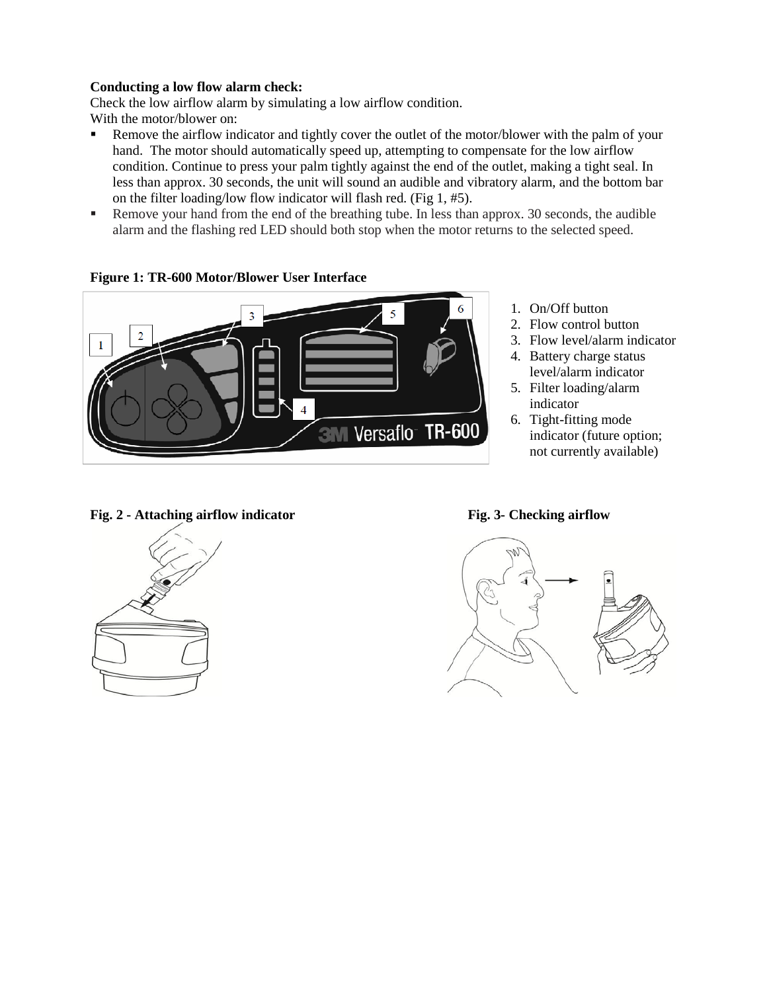### **Conducting a low flow alarm check:**

Check the low airflow alarm by simulating a low airflow condition. With the motor/blower on:

- Remove the airflow indicator and tightly cover the outlet of the motor/blower with the palm of your hand. The motor should automatically speed up, attempting to compensate for the low airflow condition. Continue to press your palm tightly against the end of the outlet, making a tight seal. In less than approx. 30 seconds, the unit will sound an audible and vibratory alarm, and the bottom bar on the filter loading/low flow indicator will flash red. (Fig 1, #5).
- Remove your hand from the end of the breathing tube. In less than approx. 30 seconds, the audible alarm and the flashing red LED should both stop when the motor returns to the selected speed.



**Figure 1: TR-600 Motor/Blower User Interface**

- 1. On/Off button
- 2. Flow control button
- 3. Flow level/alarm indicator
- 4. Battery charge status level/alarm indicator
- 5. Filter loading/alarm indicator
- 6. Tight-fitting mode indicator (future option; not currently available)

#### **Fig. 2 - Attaching airflow indicator Fig. 3- Checking airflow**



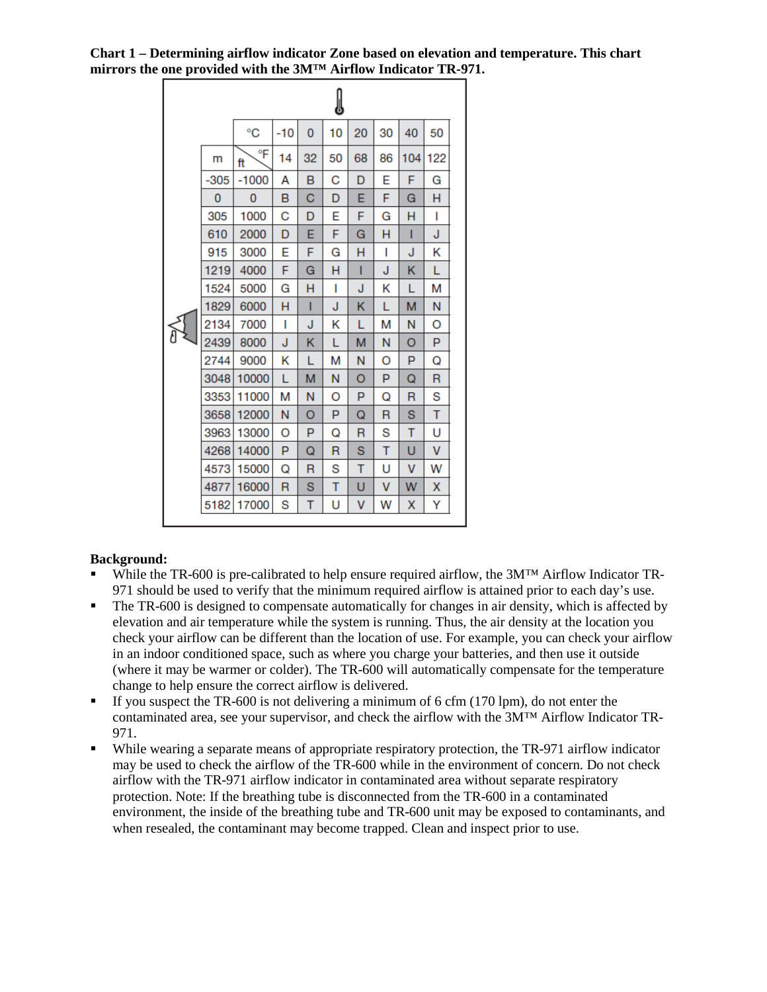**Chart 1 – Determining airflow indicator Zone based on elevation and temperature. This chart mirrors the one provided with the 3M™ Airflow Indicator TR-971.**

|  |        |          |     |    | IJ |    |    |     |     |
|--|--------|----------|-----|----|----|----|----|-----|-----|
|  |        | °C       | -10 | 0  | 10 | 20 | 30 | 40  | 50  |
|  | m      | °F<br>ft | 14  | 32 | 50 | 68 | 86 | 104 | 122 |
|  | $-305$ | $-1000$  | А   | B  | C  | D  | E  | F   | G   |
|  | 0      | 0        | в   | С  | D  | Е  | F  | G   | н   |
|  | 305    | 1000     | С   | D  | E  | F  | G  | н   | ı   |
|  | 610    | 2000     | D   | Е  | F  | G  | н  | Т   | J   |
|  | 915    | 3000     | E   | F  | G  | н  | I  | J   | κ   |
|  | 1219   | 4000     | F   | G  | н  | ı  | J  | κ   | L   |
|  | 1524   | 5000     | G   | н  | ı  | J  | κ  | L   | М   |
|  | 1829   | 6000     | н   | ı  | J  | κ  | L  | M   | N   |
|  | 2134   | 7000     | ı   | J  | κ  | L  | М  | N   | O   |
|  | 2439   | 8000     | J   | κ  | L  | М  | N  | O   | P   |
|  | 2744   | 9000     | κ   | L  | М  | N  | O  | P   | Q   |
|  | 3048   | 10000    | L   | м  | N  | O  | P  | Q   | R   |
|  | 3353   | 11000    | м   | N  | O  | P  | Q  | R   | S   |
|  | 3658   | 12000    | N   | O  | P  | Q  | R  | S   | Т   |
|  | 3963   | 13000    | O   | P  | Q  | R  | S  | т   | U   |
|  | 4268   | 14000    | P   | Q  | R  | S  | T  | U   | v   |
|  | 4573   | 15000    | Q   | R  | S  | т  | U  | V   | W   |
|  | 4877   | 16000    | R   | S  | т  | U  | V  | W   | X   |
|  | 5182   | 17000    | S   | т  | U  | V  | w  | Χ   | Y   |

### **Background:**

- While the TR-600 is pre-calibrated to help ensure required airflow, the 3M™ Airflow Indicator TR-971 should be used to verify that the minimum required airflow is attained prior to each day's use.
- The TR-600 is designed to compensate automatically for changes in air density, which is affected by elevation and air temperature while the system is running. Thus, the air density at the location you check your airflow can be different than the location of use. For example, you can check your airflow in an indoor conditioned space, such as where you charge your batteries, and then use it outside (where it may be warmer or colder). The TR-600 will automatically compensate for the temperature change to help ensure the correct airflow is delivered.
- If you suspect the TR-600 is not delivering a minimum of 6 cfm (170 lpm), do not enter the contaminated area, see your supervisor, and check the airflow with the 3M™ Airflow Indicator TR-971.
- While wearing a separate means of appropriate respiratory protection, the TR-971 airflow indicator may be used to check the airflow of the TR-600 while in the environment of concern. Do not check airflow with the TR-971 airflow indicator in contaminated area without separate respiratory protection. Note: If the breathing tube is disconnected from the TR-600 in a contaminated environment, the inside of the breathing tube and TR-600 unit may be exposed to contaminants, and when resealed, the contaminant may become trapped. Clean and inspect prior to use.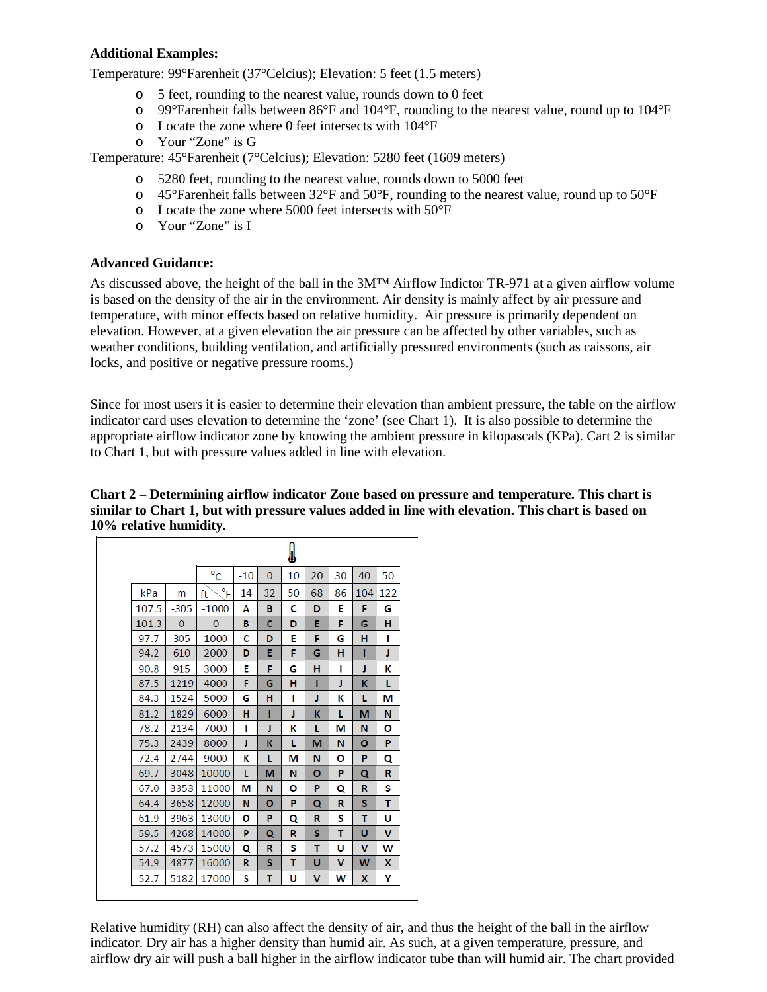# **Additional Examples:**

Temperature: 99°Farenheit (37°Celcius); Elevation: 5 feet (1.5 meters)

- o 5 feet, rounding to the nearest value, rounds down to 0 feet
- o 99°Farenheit falls between 86°F and 104°F, rounding to the nearest value, round up to 104°F
- o Locate the zone where 0 feet intersects with 104°F
- o Your "Zone" is G

Temperature: 45°Farenheit (7°Celcius); Elevation: 5280 feet (1609 meters)

- o 5280 feet, rounding to the nearest value, rounds down to 5000 feet
- $\circ$  45°Farenheit falls between 32°F and 50°F, rounding to the nearest value, round up to 50°F
- o Locate the zone where 5000 feet intersects with 50°F
- o Your "Zone" is I

# **Advanced Guidance:**

As discussed above, the height of the ball in the 3M™ Airflow Indictor TR-971 at a given airflow volume is based on the density of the air in the environment. Air density is mainly affect by air pressure and temperature, with minor effects based on relative humidity. Air pressure is primarily dependent on elevation. However, at a given elevation the air pressure can be affected by other variables, such as weather conditions, building ventilation, and artificially pressured environments (such as caissons, air locks, and positive or negative pressure rooms.)

Since for most users it is easier to determine their elevation than ambient pressure, the table on the airflow indicator card uses elevation to determine the 'zone' (see Chart 1). It is also possible to determine the appropriate airflow indicator zone by knowing the ambient pressure in kilopascals (KPa). Cart 2 is similar to Chart 1, but with pressure values added in line with elevation.

**Chart 2 – Determining airflow indicator Zone based on pressure and temperature. This chart is similar to Chart 1, but with pressure values added in line with elevation. This chart is based on 10% relative humidity.**

|       |              |                    |       |          | I  |    |    |     |     |
|-------|--------------|--------------------|-------|----------|----|----|----|-----|-----|
|       |              | $^{\circ}$ C       | $-10$ | $\Omega$ | 10 | 20 | 30 | 40  | 50  |
| kPa   | m            | $^{\circ}$ F<br>ft | 14    | 32       | 50 | 68 | 86 | 104 | 122 |
| 107.5 | $-305$       | $-1000$            | Α     | в        | C  | D  | E  | F   | G   |
| 101.3 | $\mathbf{0}$ | $\mathbf{0}$       | в     | c        | D  | E  | F  | G   | н   |
| 97.7  | 305          | 1000               | c     | D        | E  | F  | G  | н   | ı   |
| 94.2  | 610          | 2000               | D     | E        | F  | G  | н  | Т   | J   |
| 90.8  | 915          | 3000               | E     | F        | G  | н  | ı  | J   | к   |
| 87.5  | 1219         | 4000               | F     | G        | н  | ı  | J  | к   | L   |
| 84.3  | 1524         | 5000               | G     | н        | ı  | J  | к  | L   | м   |
| 81.2  | 1829         | 6000               | н     | п        | J  | к  | L  | M   | N   |
| 78.2  | 2134         | 7000               | ı     | J        | к  | L  | М  | N   | О   |
| 75.3  | 2439         | 8000               | J     | к        | L  | М  | N  | о   | P   |
| 72.4  | 2744         | 9000               | к     | L        | М  | N  | О  | P   | Q   |
| 69.7  | 3048         | 10000              | L     | М        | N  | О  | P  | Q   | R   |
| 67.0  | 3353         | 11000              | м     | N        | Ο  | P  | Q  | R   | S   |
| 64.4  | 3658         | 12000              | N     | о        | P  | Q  | R  | s   | т   |
| 61.9  | 3963         | 13000              | О     | P        | Q  | R  | s  | т   | U   |
| 59.5  | 4268         | 14000              | P     | Q        | R  | s  | т  | U   | v   |
| 57.2  | 4573         | 15000              | Q     | R        | S  | т  | U  | v   | W   |
| 54.9  | 4877         | 16000              | R     | s        | т  | U  | v  | W   | X   |
| 52.7  | 5182         | 17000              | S     | т        | U  | v  | W  | x   | Υ   |

Relative humidity (RH) can also affect the density of air, and thus the height of the ball in the airflow indicator. Dry air has a higher density than humid air. As such, at a given temperature, pressure, and airflow dry air will push a ball higher in the airflow indicator tube than will humid air. The chart provided